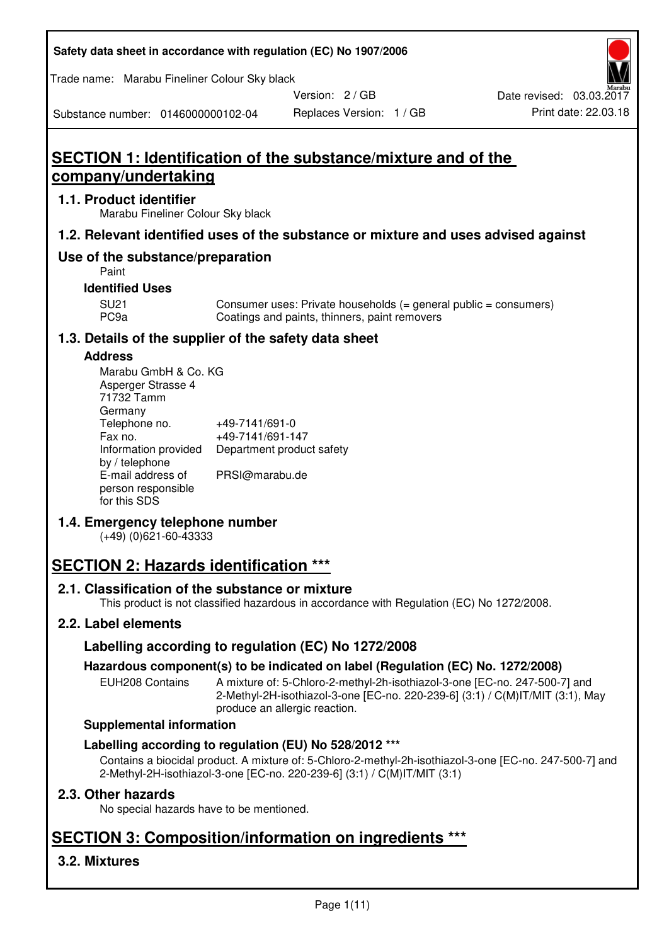| Safety data sheet in accordance with regulation (EC) No 1907/2006 |  |
|-------------------------------------------------------------------|--|
|-------------------------------------------------------------------|--|

Trade name: Marabu Fineliner Colour Sky black

Version: 2 / GB

Replaces Version: 1 / GB Print date: 22.03.18 Date revised: 03.03.2017

Substance number: 0146000000102-04

# **SECTION 1: Identification of the substance/mixture and of the company/undertaking**

### **1.1. Product identifier**

Marabu Fineliner Colour Sky black

# **1.2. Relevant identified uses of the substance or mixture and uses advised against**

# **Use of the substance/preparation**

Paint

# **Identified Uses**

SU21 Consumer uses: Private households (= general public = consumers)<br>PC9a Coatings and paints, thinners, paint removers Coatings and paints, thinners, paint removers

# **1.3. Details of the supplier of the safety data sheet**

#### **Address**

| Marabu GmbH & Co. KG |                           |
|----------------------|---------------------------|
| Asperger Strasse 4   |                           |
| 71732 Tamm           |                           |
| Germany              |                           |
| Telephone no.        | +49-7141/691-0            |
| Fax no.              | +49-7141/691-147          |
| Information provided | Department product safety |
| by / telephone       |                           |
| E-mail address of    | PRSI@marabu.de            |
| person responsible   |                           |
| for this SDS         |                           |

# **1.4. Emergency telephone number**

(+49) (0)621-60-43333

# **SECTION 2: Hazards identification \*\*\***

# **2.1. Classification of the substance or mixture**

This product is not classified hazardous in accordance with Regulation (EC) No 1272/2008.

# **2.2. Label elements**

# **Labelling according to regulation (EC) No 1272/2008**

# **Hazardous component(s) to be indicated on label (Regulation (EC) No. 1272/2008)**

EUH208 Contains A mixture of: 5-Chloro-2-methyl-2h-isothiazol-3-one [EC-no. 247-500-7] and 2-Methyl-2H-isothiazol-3-one [EC-no. 220-239-6] (3:1) / C(M)IT/MIT (3:1), May produce an allergic reaction.

#### **Supplemental information**

# **Labelling according to regulation (EU) No 528/2012 \*\*\***

Contains a biocidal product. A mixture of: 5-Chloro-2-methyl-2h-isothiazol-3-one [EC-no. 247-500-7] and 2-Methyl-2H-isothiazol-3-one [EC-no. 220-239-6] (3:1) / C(M)IT/MIT (3:1)

# **2.3. Other hazards**

No special hazards have to be mentioned.

# **SECTION 3: Composition/information on ingredients \*\*\***

# **3.2. Mixtures**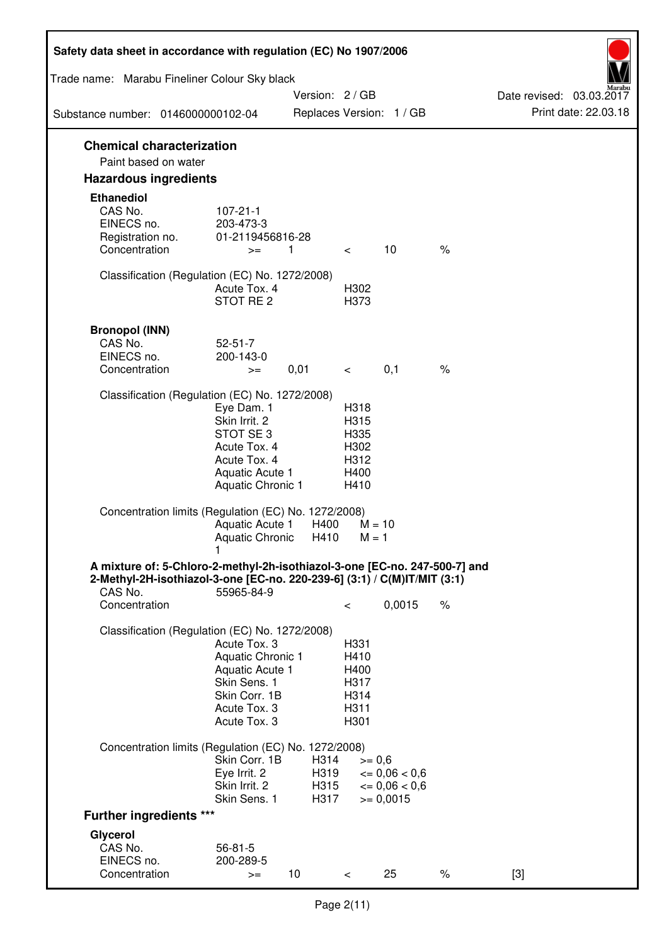| Safety data sheet in accordance with regulation (EC) No 1907/2006                                                                                                 |                                                                                                                             |                              |                                                      |                                                            |               |                                                  |
|-------------------------------------------------------------------------------------------------------------------------------------------------------------------|-----------------------------------------------------------------------------------------------------------------------------|------------------------------|------------------------------------------------------|------------------------------------------------------------|---------------|--------------------------------------------------|
| Trade name: Marabu Fineliner Colour Sky black                                                                                                                     |                                                                                                                             |                              |                                                      |                                                            |               |                                                  |
| Substance number: 0146000000102-04                                                                                                                                |                                                                                                                             | Version: 2/GB                |                                                      | Replaces Version: 1 / GB                                   |               | Date revised: 03.03.2017<br>Print date: 22.03.18 |
| <b>Chemical characterization</b>                                                                                                                                  |                                                                                                                             |                              |                                                      |                                                            |               |                                                  |
| Paint based on water                                                                                                                                              |                                                                                                                             |                              |                                                      |                                                            |               |                                                  |
| <b>Hazardous ingredients</b>                                                                                                                                      |                                                                                                                             |                              |                                                      |                                                            |               |                                                  |
| <b>Ethanediol</b><br>CAS No.<br>EINECS no.<br>Registration no.<br>Concentration                                                                                   | $107 - 21 - 1$<br>203-473-3<br>01-2119456816-28<br>$>=$                                                                     | 1.                           | $\lt$                                                | 10                                                         | $\%$          |                                                  |
|                                                                                                                                                                   |                                                                                                                             |                              |                                                      |                                                            |               |                                                  |
| Classification (Regulation (EC) No. 1272/2008)                                                                                                                    | Acute Tox. 4<br>STOT RE <sub>2</sub>                                                                                        |                              | H302<br>H373                                         |                                                            |               |                                                  |
| <b>Bronopol (INN)</b><br>CAS No.<br>EINECS no.<br>Concentration                                                                                                   | $52 - 51 - 7$<br>200-143-0<br>$>=$                                                                                          | 0,01                         | $\lt$                                                | 0,1                                                        | $\frac{1}{6}$ |                                                  |
| Classification (Regulation (EC) No. 1272/2008)                                                                                                                    |                                                                                                                             |                              |                                                      |                                                            |               |                                                  |
|                                                                                                                                                                   | Eye Dam. 1<br>Skin Irrit. 2<br>STOT SE <sub>3</sub><br>Acute Tox. 4<br>Acute Tox. 4<br>Aquatic Acute 1<br>Aquatic Chronic 1 |                              | H318<br>H315<br>H335<br>H302<br>H312<br>H400<br>H410 |                                                            |               |                                                  |
| Concentration limits (Regulation (EC) No. 1272/2008)                                                                                                              | Aquatic Acute 1<br>Aquatic Chronic                                                                                          | H400<br>H410                 | $M = 10$<br>$M = 1$                                  |                                                            |               |                                                  |
| A mixture of: 5-Chloro-2-methyl-2h-isothiazol-3-one [EC-no. 247-500-7] and<br>2-Methyl-2H-isothiazol-3-one [EC-no. 220-239-6] (3:1) / C(M)IT/MIT (3:1)<br>CAS No. | 55965-84-9                                                                                                                  |                              |                                                      |                                                            |               |                                                  |
| Concentration                                                                                                                                                     |                                                                                                                             |                              | $\,<\,$                                              | 0,0015                                                     | $\%$          |                                                  |
| Classification (Regulation (EC) No. 1272/2008)                                                                                                                    | Acute Tox, 3<br>Aquatic Chronic 1<br>Aquatic Acute 1<br>Skin Sens. 1<br>Skin Corr. 1B<br>Acute Tox. 3<br>Acute Tox. 3       |                              | H331<br>H410<br>H400<br>H317<br>H314<br>H311<br>H301 |                                                            |               |                                                  |
| Concentration limits (Regulation (EC) No. 1272/2008)                                                                                                              |                                                                                                                             |                              |                                                      |                                                            |               |                                                  |
|                                                                                                                                                                   | Skin Corr. 1B<br>Eye Irrit. 2<br>Skin Irrit. 2<br>Skin Sens. 1                                                              | H314<br>H319<br>H315<br>H317 | $>= 0,6$                                             | $\epsilon = 0.06 < 0.6$<br>$\leq 0.06 < 0.6$<br>$= 0,0015$ |               |                                                  |
| <b>Further ingredients ***</b>                                                                                                                                    |                                                                                                                             |                              |                                                      |                                                            |               |                                                  |
| Glycerol<br>CAS No.<br>EINECS no.<br>Concentration                                                                                                                | $56 - 81 - 5$<br>200-289-5<br>$>=$                                                                                          | 10                           | $\lt$                                                | 25                                                         | $\%$          | $[3]$                                            |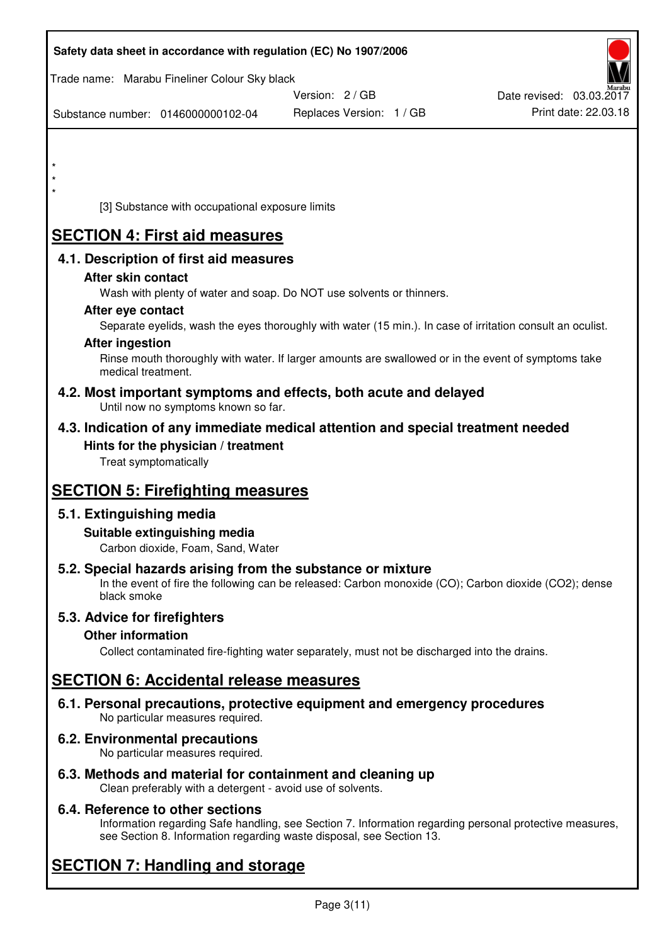| Safety data sheet in accordance with regulation (EC) No 1907/2006                                                       |                                                                                                            |                          |
|-------------------------------------------------------------------------------------------------------------------------|------------------------------------------------------------------------------------------------------------|--------------------------|
| Trade name: Marabu Fineliner Colour Sky black                                                                           | Version: 2 / GB                                                                                            | Date revised: 03.03.2017 |
| Substance number: 0146000000102-04                                                                                      | Replaces Version: 1 / GB                                                                                   | Print date: 22.03.18     |
|                                                                                                                         |                                                                                                            |                          |
|                                                                                                                         |                                                                                                            |                          |
| $\star$                                                                                                                 |                                                                                                            |                          |
| $^\star$                                                                                                                |                                                                                                            |                          |
| [3] Substance with occupational exposure limits                                                                         |                                                                                                            |                          |
| <b>SECTION 4: First aid measures</b>                                                                                    |                                                                                                            |                          |
| 4.1. Description of first aid measures                                                                                  |                                                                                                            |                          |
| After skin contact                                                                                                      |                                                                                                            |                          |
|                                                                                                                         | Wash with plenty of water and soap. Do NOT use solvents or thinners.                                       |                          |
| After eye contact                                                                                                       | Separate eyelids, wash the eyes thoroughly with water (15 min.). In case of irritation consult an oculist. |                          |
| <b>After ingestion</b>                                                                                                  |                                                                                                            |                          |
| medical treatment.                                                                                                      | Rinse mouth thoroughly with water. If larger amounts are swallowed or in the event of symptoms take        |                          |
| 4.2. Most important symptoms and effects, both acute and delayed<br>Until now no symptoms known so far.                 |                                                                                                            |                          |
| 4.3. Indication of any immediate medical attention and special treatment needed                                         |                                                                                                            |                          |
| Hints for the physician / treatment<br>Treat symptomatically                                                            |                                                                                                            |                          |
| <b>SECTION 5: Firefighting measures</b>                                                                                 |                                                                                                            |                          |
| 5.1. Extinguishing media                                                                                                |                                                                                                            |                          |
| Suitable extinguishing media<br>Carbon dioxide, Foam, Sand, Water                                                       |                                                                                                            |                          |
| 5.2. Special hazards arising from the substance or mixture                                                              | In the event of fire the following can be released: Carbon monoxide (CO); Carbon dioxide (CO2); dense      |                          |
| black smoke                                                                                                             |                                                                                                            |                          |
| 5.3. Advice for firefighters                                                                                            |                                                                                                            |                          |
| <b>Other information</b>                                                                                                |                                                                                                            |                          |
|                                                                                                                         | Collect contaminated fire-fighting water separately, must not be discharged into the drains.               |                          |
| <b>SECTION 6: Accidental release measures</b>                                                                           |                                                                                                            |                          |
| 6.1. Personal precautions, protective equipment and emergency procedures<br>No particular measures required.            |                                                                                                            |                          |
| 6.2. Environmental precautions<br>No particular measures required.                                                      |                                                                                                            |                          |
| 6.3. Methods and material for containment and cleaning up<br>Clean preferably with a detergent - avoid use of solvents. |                                                                                                            |                          |

# **6.4. Reference to other sections**

Information regarding Safe handling, see Section 7. Information regarding personal protective measures, see Section 8. Information regarding waste disposal, see Section 13.

# **SECTION 7: Handling and storage**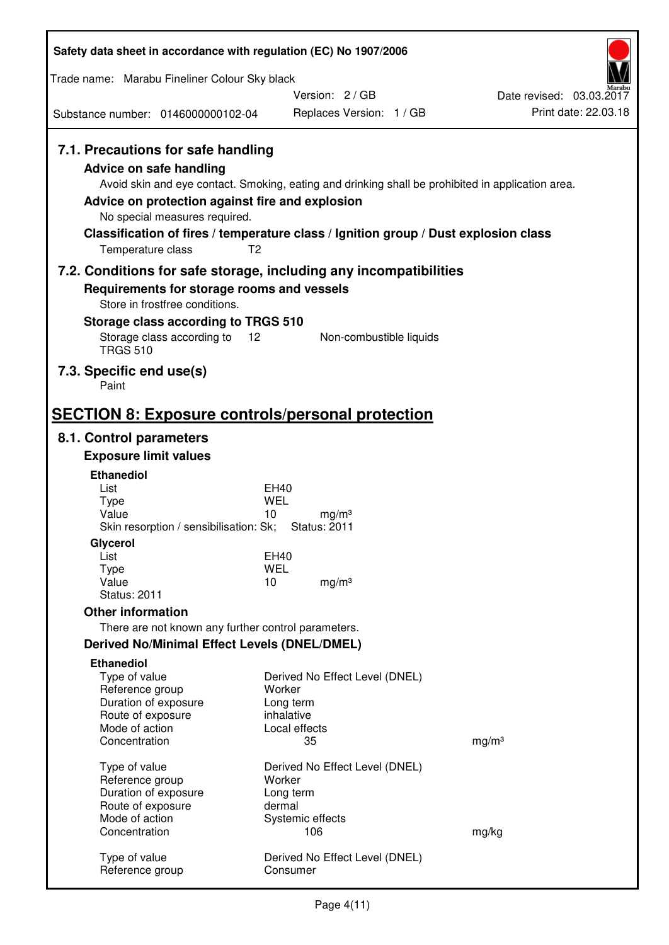| Safety data sheet in accordance with regulation (EC) No 1907/2006                                                                                                      |                                                                                                                                                                                                            |                          |
|------------------------------------------------------------------------------------------------------------------------------------------------------------------------|------------------------------------------------------------------------------------------------------------------------------------------------------------------------------------------------------------|--------------------------|
| Trade name: Marabu Fineliner Colour Sky black                                                                                                                          |                                                                                                                                                                                                            |                          |
|                                                                                                                                                                        | Version: 2/GB                                                                                                                                                                                              | Date revised: 03.03.2017 |
| Substance number: 0146000000102-04                                                                                                                                     | Replaces Version: 1 / GB                                                                                                                                                                                   | Print date: 22.03.18     |
| 7.1. Precautions for safe handling<br>Advice on safe handling<br>Advice on protection against fire and explosion<br>No special measures required.<br>Temperature class | Avoid skin and eye contact. Smoking, eating and drinking shall be prohibited in application area.<br>Classification of fires / temperature class / Ignition group / Dust explosion class<br>T <sub>2</sub> |                          |
|                                                                                                                                                                        | 7.2. Conditions for safe storage, including any incompatibilities                                                                                                                                          |                          |
| Requirements for storage rooms and vessels<br>Store in frostfree conditions.                                                                                           |                                                                                                                                                                                                            |                          |
| Storage class according to TRGS 510                                                                                                                                    |                                                                                                                                                                                                            |                          |
| Storage class according to<br><b>TRGS 510</b>                                                                                                                          | 12<br>Non-combustible liquids                                                                                                                                                                              |                          |
| 7.3. Specific end use(s)<br>Paint                                                                                                                                      |                                                                                                                                                                                                            |                          |
| <b>SECTION 8: Exposure controls/personal protection</b>                                                                                                                |                                                                                                                                                                                                            |                          |
| 8.1. Control parameters                                                                                                                                                |                                                                                                                                                                                                            |                          |
| <b>Exposure limit values</b>                                                                                                                                           |                                                                                                                                                                                                            |                          |
| <b>Ethanediol</b><br>List                                                                                                                                              | EH40                                                                                                                                                                                                       |                          |
| <b>Type</b>                                                                                                                                                            | WEL                                                                                                                                                                                                        |                          |
| Value<br>Skin resorption / sensibilisation: Sk;                                                                                                                        | 10<br>mg/m <sup>3</sup><br><b>Status: 2011</b>                                                                                                                                                             |                          |
| Glycerol                                                                                                                                                               |                                                                                                                                                                                                            |                          |
| List                                                                                                                                                                   | <b>EH40</b>                                                                                                                                                                                                |                          |
| Type<br>Value                                                                                                                                                          | <b>WEL</b><br>10<br>mg/m <sup>3</sup>                                                                                                                                                                      |                          |
| <b>Status: 2011</b>                                                                                                                                                    |                                                                                                                                                                                                            |                          |
| <b>Other information</b>                                                                                                                                               |                                                                                                                                                                                                            |                          |
| There are not known any further control parameters.                                                                                                                    |                                                                                                                                                                                                            |                          |
| <b>Derived No/Minimal Effect Levels (DNEL/DMEL)</b><br><b>Ethanediol</b>                                                                                               |                                                                                                                                                                                                            |                          |
| Type of value<br>Reference group<br>Duration of exposure                                                                                                               | Derived No Effect Level (DNEL)<br>Worker<br>Long term                                                                                                                                                      |                          |
| Route of exposure<br>Mode of action                                                                                                                                    | inhalative<br>Local effects                                                                                                                                                                                |                          |
| Concentration                                                                                                                                                          | 35                                                                                                                                                                                                         | mg/m <sup>3</sup>        |
| Type of value                                                                                                                                                          | Derived No Effect Level (DNEL)                                                                                                                                                                             |                          |
| Reference group                                                                                                                                                        | Worker                                                                                                                                                                                                     |                          |
| Duration of exposure                                                                                                                                                   | Long term                                                                                                                                                                                                  |                          |
| Route of exposure<br>Mode of action                                                                                                                                    | dermal<br>Systemic effects                                                                                                                                                                                 |                          |
| Concentration                                                                                                                                                          | 106                                                                                                                                                                                                        | mg/kg                    |
| Type of value<br>Reference group                                                                                                                                       | Derived No Effect Level (DNEL)<br>Consumer                                                                                                                                                                 |                          |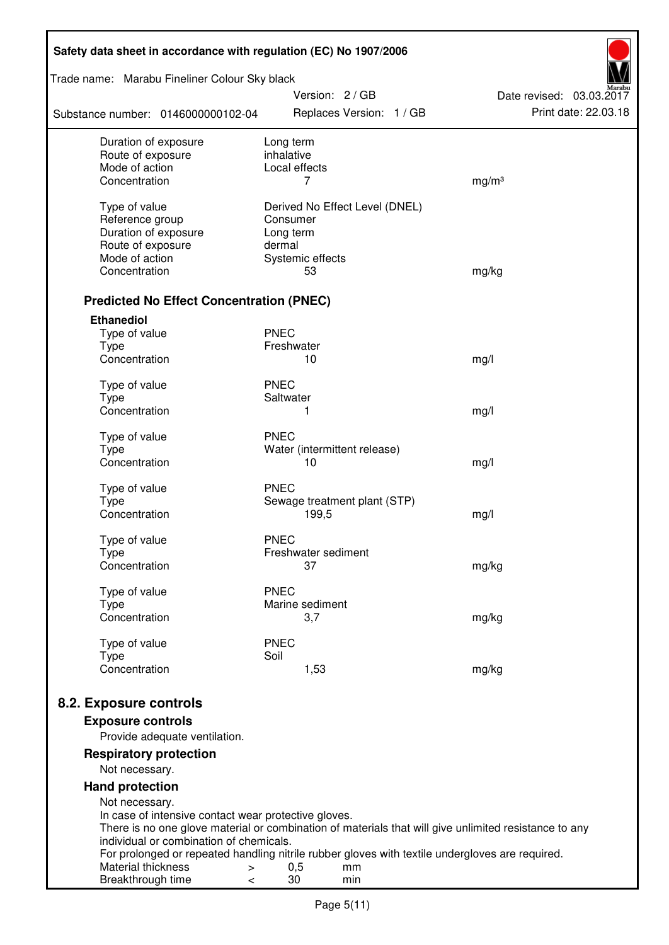| Trade name: Marabu Fineliner Colour Sky black<br>Version: 2 / GB<br>Date revised: 03.03.2017                                               |  |
|--------------------------------------------------------------------------------------------------------------------------------------------|--|
|                                                                                                                                            |  |
| Print date: 22.03.18<br>Replaces Version: 1 / GB<br>Substance number: 0146000000102-04                                                     |  |
| Duration of exposure<br>Long term<br>inhalative                                                                                            |  |
| Route of exposure<br>Mode of action<br>Local effects                                                                                       |  |
| Concentration<br>7<br>mg/m <sup>3</sup>                                                                                                    |  |
| Type of value<br>Derived No Effect Level (DNEL)                                                                                            |  |
| Reference group<br>Consumer                                                                                                                |  |
| Duration of exposure<br>Long term                                                                                                          |  |
| Route of exposure<br>dermal                                                                                                                |  |
| Mode of action<br>Systemic effects                                                                                                         |  |
| Concentration<br>53<br>mg/kg                                                                                                               |  |
| <b>Predicted No Effect Concentration (PNEC)</b>                                                                                            |  |
| <b>Ethanediol</b>                                                                                                                          |  |
| <b>PNEC</b><br>Type of value                                                                                                               |  |
| <b>Type</b><br>Freshwater                                                                                                                  |  |
| Concentration<br>10<br>mg/l                                                                                                                |  |
| <b>PNEC</b><br>Type of value                                                                                                               |  |
| <b>Type</b><br>Saltwater                                                                                                                   |  |
| Concentration<br>1<br>mg/l                                                                                                                 |  |
| <b>PNEC</b><br>Type of value                                                                                                               |  |
| <b>Type</b><br>Water (intermittent release)                                                                                                |  |
| Concentration<br>10<br>mg/l                                                                                                                |  |
| <b>PNEC</b><br>Type of value                                                                                                               |  |
| <b>Type</b><br>Sewage treatment plant (STP)                                                                                                |  |
| Concentration<br>199,5<br>mg/l                                                                                                             |  |
| Type of value<br><b>PNEC</b>                                                                                                               |  |
| Freshwater sediment<br>Type                                                                                                                |  |
| Concentration<br>37<br>mg/kg                                                                                                               |  |
| <b>PNEC</b><br>Type of value                                                                                                               |  |
| Marine sediment<br>Type                                                                                                                    |  |
| Concentration<br>3,7<br>mg/kg                                                                                                              |  |
| Type of value<br><b>PNEC</b>                                                                                                               |  |
| Soil<br><b>Type</b><br>Concentration<br>1,53<br>mg/kg                                                                                      |  |
|                                                                                                                                            |  |
| 8.2. Exposure controls                                                                                                                     |  |
| <b>Exposure controls</b>                                                                                                                   |  |
| Provide adequate ventilation.                                                                                                              |  |
| <b>Respiratory protection</b>                                                                                                              |  |
| Not necessary.                                                                                                                             |  |
| <b>Hand protection</b><br>Not necessary.                                                                                                   |  |
| In case of intensive contact wear protective gloves.                                                                                       |  |
| There is no one glove material or combination of materials that will give unlimited resistance to any                                      |  |
| individual or combination of chemicals.<br>For prolonged or repeated handling nitrile rubber gloves with textile undergloves are required. |  |
| Material thickness<br>0,5<br>mm<br>$\, > \,$                                                                                               |  |
| 30<br>Breakthrough time<br>min<br>$\,<\,$                                                                                                  |  |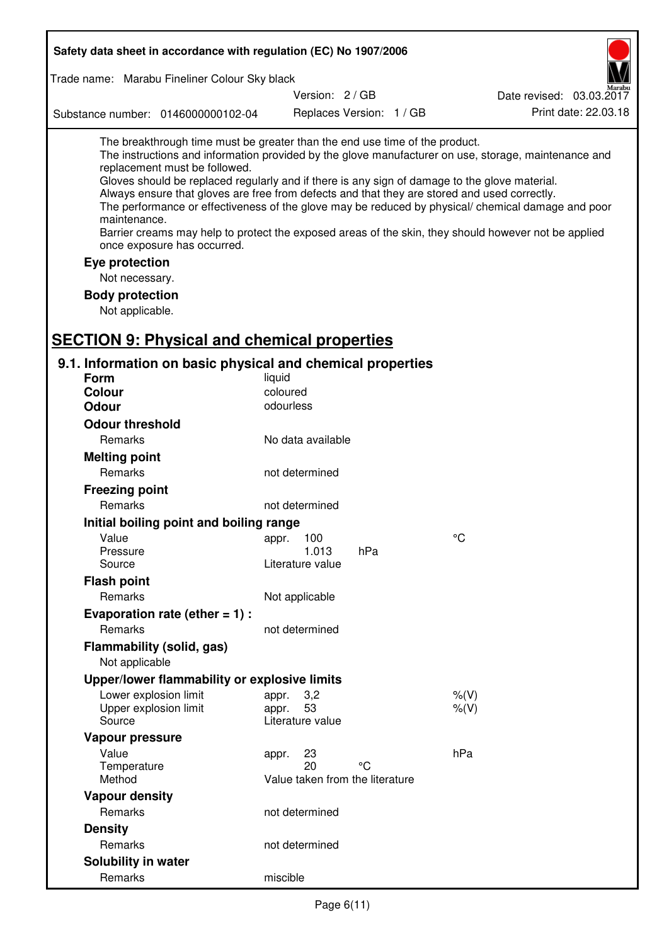| Safety data sheet in accordance with regulation (EC) No 1907/2006                                                                                                                                                                                                                                                                                                                                |                                                      |                          |                                                                                                                                                                                                                                                                                                                    |
|--------------------------------------------------------------------------------------------------------------------------------------------------------------------------------------------------------------------------------------------------------------------------------------------------------------------------------------------------------------------------------------------------|------------------------------------------------------|--------------------------|--------------------------------------------------------------------------------------------------------------------------------------------------------------------------------------------------------------------------------------------------------------------------------------------------------------------|
| Trade name: Marabu Fineliner Colour Sky black                                                                                                                                                                                                                                                                                                                                                    |                                                      |                          |                                                                                                                                                                                                                                                                                                                    |
|                                                                                                                                                                                                                                                                                                                                                                                                  | Version: 2/GB                                        |                          | Date revised: 03.03.2017                                                                                                                                                                                                                                                                                           |
| Substance number: 0146000000102-04                                                                                                                                                                                                                                                                                                                                                               |                                                      | Replaces Version: 1 / GB | Print date: 22.03.18                                                                                                                                                                                                                                                                                               |
| The breakthrough time must be greater than the end use time of the product.<br>replacement must be followed.<br>Gloves should be replaced regularly and if there is any sign of damage to the glove material.<br>Always ensure that gloves are free from defects and that they are stored and used correctly.<br>maintenance.<br>once exposure has occurred.<br>Eye protection<br>Not necessary. |                                                      |                          | The instructions and information provided by the glove manufacturer on use, storage, maintenance and<br>The performance or effectiveness of the glove may be reduced by physical/ chemical damage and poor<br>Barrier creams may help to protect the exposed areas of the skin, they should however not be applied |
| <b>Body protection</b><br>Not applicable.                                                                                                                                                                                                                                                                                                                                                        |                                                      |                          |                                                                                                                                                                                                                                                                                                                    |
| <b>SECTION 9: Physical and chemical properties</b>                                                                                                                                                                                                                                                                                                                                               |                                                      |                          |                                                                                                                                                                                                                                                                                                                    |
| 9.1. Information on basic physical and chemical properties                                                                                                                                                                                                                                                                                                                                       |                                                      |                          |                                                                                                                                                                                                                                                                                                                    |
| <b>Form</b>                                                                                                                                                                                                                                                                                                                                                                                      | liquid                                               |                          |                                                                                                                                                                                                                                                                                                                    |
| Colour                                                                                                                                                                                                                                                                                                                                                                                           | coloured                                             |                          |                                                                                                                                                                                                                                                                                                                    |
| <b>Odour</b>                                                                                                                                                                                                                                                                                                                                                                                     | odourless                                            |                          |                                                                                                                                                                                                                                                                                                                    |
| <b>Odour threshold</b>                                                                                                                                                                                                                                                                                                                                                                           |                                                      |                          |                                                                                                                                                                                                                                                                                                                    |
| <b>Remarks</b>                                                                                                                                                                                                                                                                                                                                                                                   | No data available                                    |                          |                                                                                                                                                                                                                                                                                                                    |
| <b>Melting point</b>                                                                                                                                                                                                                                                                                                                                                                             |                                                      |                          |                                                                                                                                                                                                                                                                                                                    |
| Remarks                                                                                                                                                                                                                                                                                                                                                                                          | not determined                                       |                          |                                                                                                                                                                                                                                                                                                                    |
| <b>Freezing point</b>                                                                                                                                                                                                                                                                                                                                                                            |                                                      |                          |                                                                                                                                                                                                                                                                                                                    |
| Remarks                                                                                                                                                                                                                                                                                                                                                                                          | not determined                                       |                          |                                                                                                                                                                                                                                                                                                                    |
| Initial boiling point and boiling range                                                                                                                                                                                                                                                                                                                                                          |                                                      |                          |                                                                                                                                                                                                                                                                                                                    |
| Value                                                                                                                                                                                                                                                                                                                                                                                            | 100<br>appr.                                         |                          | $^{\circ}C$                                                                                                                                                                                                                                                                                                        |
| Pressure                                                                                                                                                                                                                                                                                                                                                                                         | 1.013                                                | hPa                      |                                                                                                                                                                                                                                                                                                                    |
| Source                                                                                                                                                                                                                                                                                                                                                                                           | Literature value                                     |                          |                                                                                                                                                                                                                                                                                                                    |
| <b>Flash point</b>                                                                                                                                                                                                                                                                                                                                                                               |                                                      |                          |                                                                                                                                                                                                                                                                                                                    |
| Remarks                                                                                                                                                                                                                                                                                                                                                                                          | Not applicable                                       |                          |                                                                                                                                                                                                                                                                                                                    |
| Evaporation rate (ether $= 1$ ) :                                                                                                                                                                                                                                                                                                                                                                |                                                      |                          |                                                                                                                                                                                                                                                                                                                    |
| Remarks                                                                                                                                                                                                                                                                                                                                                                                          | not determined                                       |                          |                                                                                                                                                                                                                                                                                                                    |
| <b>Flammability (solid, gas)</b><br>Not applicable                                                                                                                                                                                                                                                                                                                                               |                                                      |                          |                                                                                                                                                                                                                                                                                                                    |
| Upper/lower flammability or explosive limits                                                                                                                                                                                                                                                                                                                                                     |                                                      |                          |                                                                                                                                                                                                                                                                                                                    |
| Lower explosion limit<br>Upper explosion limit<br>Source                                                                                                                                                                                                                                                                                                                                         | 3,2<br>appr.<br>53<br>appr.<br>Literature value      |                          | $%$ $(V)$<br>% (V)                                                                                                                                                                                                                                                                                                 |
| Vapour pressure                                                                                                                                                                                                                                                                                                                                                                                  |                                                      |                          |                                                                                                                                                                                                                                                                                                                    |
| Value<br>Temperature<br>Method                                                                                                                                                                                                                                                                                                                                                                   | 23<br>appr.<br>20<br>Value taken from the literature | °C                       | hPa                                                                                                                                                                                                                                                                                                                |
| <b>Vapour density</b>                                                                                                                                                                                                                                                                                                                                                                            |                                                      |                          |                                                                                                                                                                                                                                                                                                                    |
| Remarks                                                                                                                                                                                                                                                                                                                                                                                          | not determined                                       |                          |                                                                                                                                                                                                                                                                                                                    |
| <b>Density</b>                                                                                                                                                                                                                                                                                                                                                                                   |                                                      |                          |                                                                                                                                                                                                                                                                                                                    |
| Remarks                                                                                                                                                                                                                                                                                                                                                                                          | not determined                                       |                          |                                                                                                                                                                                                                                                                                                                    |
| Solubility in water                                                                                                                                                                                                                                                                                                                                                                              |                                                      |                          |                                                                                                                                                                                                                                                                                                                    |
| Remarks                                                                                                                                                                                                                                                                                                                                                                                          | miscible                                             |                          |                                                                                                                                                                                                                                                                                                                    |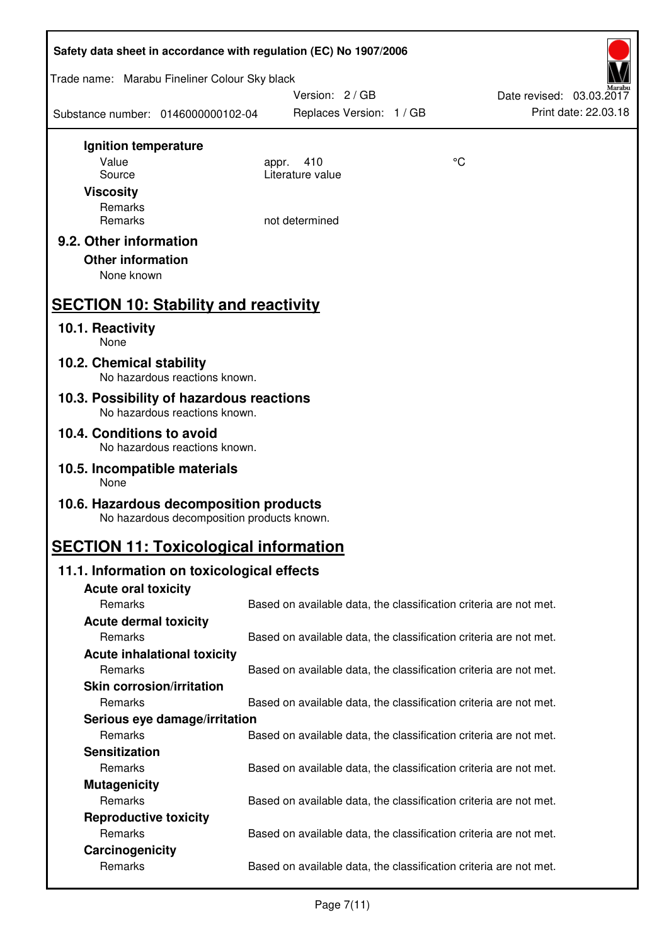| Safety data sheet in accordance with regulation (EC) No 1907/2006                    |                                                                   |                 |                                                  |  |  |
|--------------------------------------------------------------------------------------|-------------------------------------------------------------------|-----------------|--------------------------------------------------|--|--|
| Trade name: Marabu Fineliner Colour Sky black                                        |                                                                   |                 |                                                  |  |  |
| Substance number: 0146000000102-04                                                   | Version: 2/GB<br>Replaces Version: 1 / GB                         |                 | Date revised: 03.03.2017<br>Print date: 22.03.18 |  |  |
| Ignition temperature                                                                 |                                                                   |                 |                                                  |  |  |
| Value                                                                                | 410<br>appr.                                                      | $\rm ^{\circ}C$ |                                                  |  |  |
| Source                                                                               | Literature value                                                  |                 |                                                  |  |  |
| <b>Viscosity</b><br>Remarks                                                          |                                                                   |                 |                                                  |  |  |
| Remarks                                                                              | not determined                                                    |                 |                                                  |  |  |
| 9.2. Other information                                                               |                                                                   |                 |                                                  |  |  |
| <b>Other information</b>                                                             |                                                                   |                 |                                                  |  |  |
| None known                                                                           |                                                                   |                 |                                                  |  |  |
| <b>SECTION 10: Stability and reactivity</b>                                          |                                                                   |                 |                                                  |  |  |
| 10.1. Reactivity<br>None                                                             |                                                                   |                 |                                                  |  |  |
| 10.2. Chemical stability<br>No hazardous reactions known.                            |                                                                   |                 |                                                  |  |  |
| 10.3. Possibility of hazardous reactions<br>No hazardous reactions known.            |                                                                   |                 |                                                  |  |  |
| 10.4. Conditions to avoid                                                            |                                                                   |                 |                                                  |  |  |
| No hazardous reactions known.<br>10.5. Incompatible materials                        |                                                                   |                 |                                                  |  |  |
| None                                                                                 |                                                                   |                 |                                                  |  |  |
| 10.6. Hazardous decomposition products<br>No hazardous decomposition products known. |                                                                   |                 |                                                  |  |  |
| <b>SECTION 11: Toxicological information</b>                                         |                                                                   |                 |                                                  |  |  |
| 11.1. Information on toxicological effects                                           |                                                                   |                 |                                                  |  |  |
| <b>Acute oral toxicity</b>                                                           |                                                                   |                 |                                                  |  |  |
| Remarks                                                                              | Based on available data, the classification criteria are not met. |                 |                                                  |  |  |
| <b>Acute dermal toxicity</b>                                                         |                                                                   |                 |                                                  |  |  |
| Remarks                                                                              | Based on available data, the classification criteria are not met. |                 |                                                  |  |  |
| <b>Acute inhalational toxicity</b><br>Remarks                                        | Based on available data, the classification criteria are not met. |                 |                                                  |  |  |
| <b>Skin corrosion/irritation</b>                                                     |                                                                   |                 |                                                  |  |  |
| Remarks                                                                              | Based on available data, the classification criteria are not met. |                 |                                                  |  |  |
| Serious eye damage/irritation                                                        |                                                                   |                 |                                                  |  |  |
| Remarks                                                                              | Based on available data, the classification criteria are not met. |                 |                                                  |  |  |
| <b>Sensitization</b>                                                                 |                                                                   |                 |                                                  |  |  |
| Remarks                                                                              | Based on available data, the classification criteria are not met. |                 |                                                  |  |  |
| <b>Mutagenicity</b>                                                                  |                                                                   |                 |                                                  |  |  |
| Remarks                                                                              | Based on available data, the classification criteria are not met. |                 |                                                  |  |  |
| <b>Reproductive toxicity</b>                                                         |                                                                   |                 |                                                  |  |  |
| Remarks                                                                              | Based on available data, the classification criteria are not met. |                 |                                                  |  |  |
| Carcinogenicity                                                                      |                                                                   |                 |                                                  |  |  |
| Remarks                                                                              | Based on available data, the classification criteria are not met. |                 |                                                  |  |  |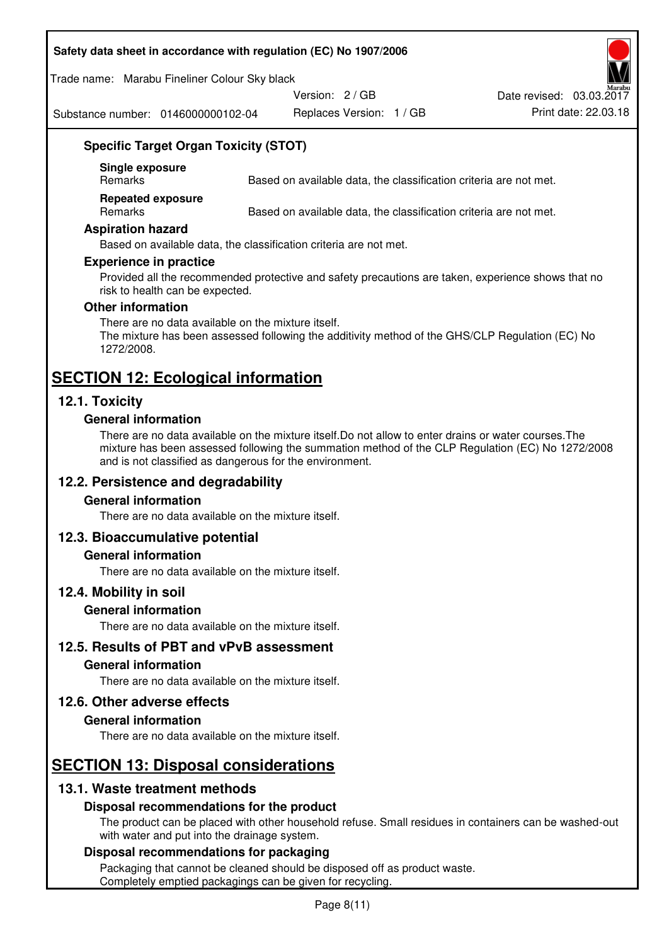#### **Safety data sheet in accordance with regulation (EC) No 1907/2006**

Trade name: Marabu Fineliner Colour Sky black

Version: 2 / GB

Substance number: 0146000000102-04

Replaces Version: 1 / GB Print date: 22.03.18 Date revised: 03.03.2017

# **Specific Target Organ Toxicity (STOT)**

**Single exposure** 

Based on available data, the classification criteria are not met.

**Repeated exposure** 

Remarks Based on available data, the classification criteria are not met.

#### **Aspiration hazard**

Based on available data, the classification criteria are not met.

#### **Experience in practice**

Provided all the recommended protective and safety precautions are taken, experience shows that no risk to health can be expected.

#### **Other information**

There are no data available on the mixture itself. The mixture has been assessed following the additivity method of the GHS/CLP Regulation (EC) No 1272/2008.

# **SECTION 12: Ecological information**

# **12.1. Toxicity**

#### **General information**

There are no data available on the mixture itself.Do not allow to enter drains or water courses.The mixture has been assessed following the summation method of the CLP Regulation (EC) No 1272/2008 and is not classified as dangerous for the environment.

# **12.2. Persistence and degradability**

#### **General information**

There are no data available on the mixture itself.

# **12.3. Bioaccumulative potential**

#### **General information**

There are no data available on the mixture itself.

#### **12.4. Mobility in soil**

#### **General information**

There are no data available on the mixture itself.

**12.5. Results of PBT and vPvB assessment** 

#### **General information**

There are no data available on the mixture itself.

#### **12.6. Other adverse effects**

#### **General information**

There are no data available on the mixture itself.

# **SECTION 13: Disposal considerations**

# **13.1. Waste treatment methods**

# **Disposal recommendations for the product**

The product can be placed with other household refuse. Small residues in containers can be washed-out with water and put into the drainage system.

#### **Disposal recommendations for packaging**

Packaging that cannot be cleaned should be disposed off as product waste. Completely emptied packagings can be given for recycling.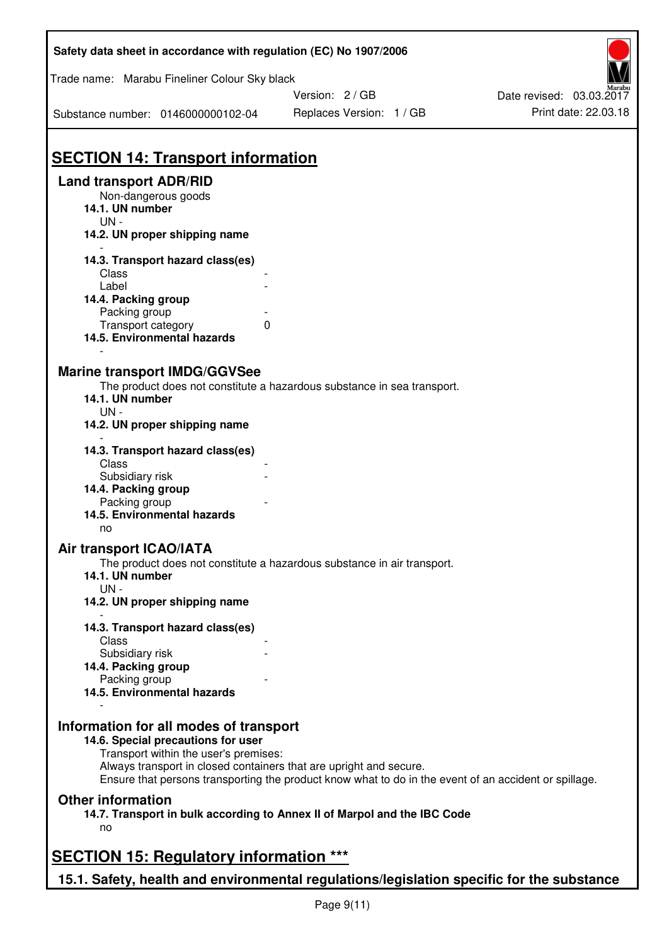| Safety data sheet in accordance with regulation (EC) No 1907/2006                                                     |                                                                                                                                                                             |                          |
|-----------------------------------------------------------------------------------------------------------------------|-----------------------------------------------------------------------------------------------------------------------------------------------------------------------------|--------------------------|
| Trade name: Marabu Fineliner Colour Sky black                                                                         |                                                                                                                                                                             |                          |
|                                                                                                                       | Version: 2/GB                                                                                                                                                               | Date revised: 03.03.2017 |
| Substance number: 0146000000102-04                                                                                    | Replaces Version: 1 / GB                                                                                                                                                    | Print date: 22.03.18     |
| <b>SECTION 14: Transport information</b>                                                                              |                                                                                                                                                                             |                          |
| <b>Land transport ADR/RID</b><br>Non-dangerous goods<br>14.1. UN number<br>UN-                                        |                                                                                                                                                                             |                          |
| 14.2. UN proper shipping name                                                                                         |                                                                                                                                                                             |                          |
| 14.3. Transport hazard class(es)<br>Class<br>Label                                                                    |                                                                                                                                                                             |                          |
| 14.4. Packing group                                                                                                   |                                                                                                                                                                             |                          |
| Packing group                                                                                                         | 0                                                                                                                                                                           |                          |
| Transport category<br>14.5. Environmental hazards                                                                     |                                                                                                                                                                             |                          |
| <b>Marine transport IMDG/GGVSee</b><br>14.1. UN number<br>UN -<br>14.2. UN proper shipping name                       | The product does not constitute a hazardous substance in sea transport.                                                                                                     |                          |
| 14.3. Transport hazard class(es)<br>Class                                                                             |                                                                                                                                                                             |                          |
| Subsidiary risk<br>14.4. Packing group                                                                                |                                                                                                                                                                             |                          |
| Packing group<br>14.5. Environmental hazards                                                                          |                                                                                                                                                                             |                          |
| no                                                                                                                    |                                                                                                                                                                             |                          |
| <b>Air transport ICAO/IATA</b>                                                                                        |                                                                                                                                                                             |                          |
| 14.1. UN number<br>$UN -$                                                                                             | The product does not constitute a hazardous substance in air transport.                                                                                                     |                          |
| 14.2. UN proper shipping name                                                                                         |                                                                                                                                                                             |                          |
| 14.3. Transport hazard class(es)                                                                                      |                                                                                                                                                                             |                          |
| Class<br>Subsidiary risk                                                                                              |                                                                                                                                                                             |                          |
| 14.4. Packing group                                                                                                   |                                                                                                                                                                             |                          |
| Packing group<br>14.5. Environmental hazards                                                                          |                                                                                                                                                                             |                          |
| Information for all modes of transport<br>14.6. Special precautions for user<br>Transport within the user's premises: | Always transport in closed containers that are upright and secure.<br>Ensure that persons transporting the product know what to do in the event of an accident or spillage. |                          |
| <b>Other information</b><br>no                                                                                        | 14.7. Transport in bulk according to Annex II of Marpol and the IBC Code                                                                                                    |                          |
| <b>SECTION 15: Regulatory information ***</b>                                                                         |                                                                                                                                                                             |                          |
| 15.1. Safety, health and environmental regulations/legislation specific for the substance                             |                                                                                                                                                                             |                          |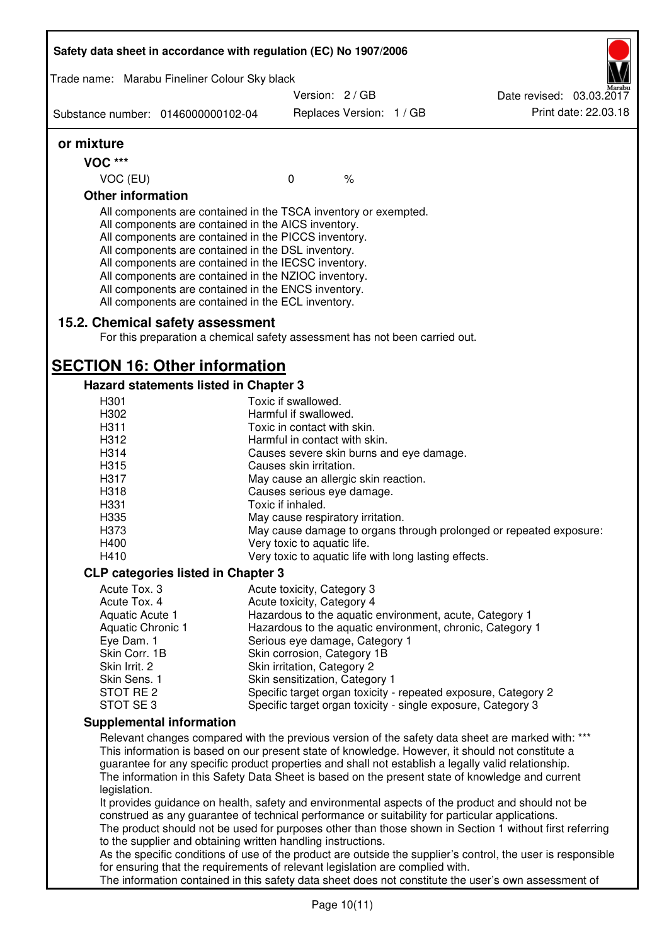| Safety data sheet in accordance with regulation (EC) No 1907/2006                                                                                                                                       |                                                                                                                                                                                                                                                                                                                                                                                                                                                                   |                                                            |               |  |                                                                                                      |
|---------------------------------------------------------------------------------------------------------------------------------------------------------------------------------------------------------|-------------------------------------------------------------------------------------------------------------------------------------------------------------------------------------------------------------------------------------------------------------------------------------------------------------------------------------------------------------------------------------------------------------------------------------------------------------------|------------------------------------------------------------|---------------|--|------------------------------------------------------------------------------------------------------|
|                                                                                                                                                                                                         | Trade name: Marabu Fineliner Colour Sky black                                                                                                                                                                                                                                                                                                                                                                                                                     | Version: 2/GB                                              |               |  |                                                                                                      |
| Substance number: 0146000000102-04                                                                                                                                                                      |                                                                                                                                                                                                                                                                                                                                                                                                                                                                   | Replaces Version: 1 / GB                                   |               |  | Date revised: 03.03.2017<br>Print date: 22.03.18                                                     |
|                                                                                                                                                                                                         |                                                                                                                                                                                                                                                                                                                                                                                                                                                                   |                                                            |               |  |                                                                                                      |
| or mixture                                                                                                                                                                                              |                                                                                                                                                                                                                                                                                                                                                                                                                                                                   |                                                            |               |  |                                                                                                      |
| <b>VOC ***</b>                                                                                                                                                                                          |                                                                                                                                                                                                                                                                                                                                                                                                                                                                   | $\mathbf 0$                                                | $\frac{1}{6}$ |  |                                                                                                      |
| VOC (EU)<br><b>Other information</b>                                                                                                                                                                    |                                                                                                                                                                                                                                                                                                                                                                                                                                                                   |                                                            |               |  |                                                                                                      |
|                                                                                                                                                                                                         | All components are contained in the TSCA inventory or exempted.<br>All components are contained in the AICS inventory.<br>All components are contained in the PICCS inventory.<br>All components are contained in the DSL inventory.<br>All components are contained in the IECSC inventory.<br>All components are contained in the NZIOC inventory.<br>All components are contained in the ENCS inventory.<br>All components are contained in the ECL inventory. |                                                            |               |  |                                                                                                      |
|                                                                                                                                                                                                         | 15.2. Chemical safety assessment<br>For this preparation a chemical safety assessment has not been carried out.                                                                                                                                                                                                                                                                                                                                                   |                                                            |               |  |                                                                                                      |
|                                                                                                                                                                                                         | <b>SECTION 16: Other information</b>                                                                                                                                                                                                                                                                                                                                                                                                                              |                                                            |               |  |                                                                                                      |
|                                                                                                                                                                                                         | Hazard statements listed in Chapter 3                                                                                                                                                                                                                                                                                                                                                                                                                             |                                                            |               |  |                                                                                                      |
| H301                                                                                                                                                                                                    |                                                                                                                                                                                                                                                                                                                                                                                                                                                                   | Toxic if swallowed.                                        |               |  |                                                                                                      |
| H302<br>H311                                                                                                                                                                                            |                                                                                                                                                                                                                                                                                                                                                                                                                                                                   | Harmful if swallowed.<br>Toxic in contact with skin.       |               |  |                                                                                                      |
| H312                                                                                                                                                                                                    |                                                                                                                                                                                                                                                                                                                                                                                                                                                                   | Harmful in contact with skin.                              |               |  |                                                                                                      |
| H314                                                                                                                                                                                                    |                                                                                                                                                                                                                                                                                                                                                                                                                                                                   | Causes severe skin burns and eye damage.                   |               |  |                                                                                                      |
| H315                                                                                                                                                                                                    |                                                                                                                                                                                                                                                                                                                                                                                                                                                                   | Causes skin irritation.                                    |               |  |                                                                                                      |
| H317                                                                                                                                                                                                    |                                                                                                                                                                                                                                                                                                                                                                                                                                                                   | May cause an allergic skin reaction.                       |               |  |                                                                                                      |
| H318                                                                                                                                                                                                    |                                                                                                                                                                                                                                                                                                                                                                                                                                                                   | Causes serious eye damage.                                 |               |  |                                                                                                      |
| H331                                                                                                                                                                                                    |                                                                                                                                                                                                                                                                                                                                                                                                                                                                   | Toxic if inhaled.                                          |               |  |                                                                                                      |
| H335                                                                                                                                                                                                    |                                                                                                                                                                                                                                                                                                                                                                                                                                                                   | May cause respiratory irritation.                          |               |  |                                                                                                      |
| H373                                                                                                                                                                                                    |                                                                                                                                                                                                                                                                                                                                                                                                                                                                   |                                                            |               |  | May cause damage to organs through prolonged or repeated exposure:                                   |
| H400                                                                                                                                                                                                    |                                                                                                                                                                                                                                                                                                                                                                                                                                                                   | Very toxic to aquatic life.                                |               |  |                                                                                                      |
| H410                                                                                                                                                                                                    |                                                                                                                                                                                                                                                                                                                                                                                                                                                                   | Very toxic to aquatic life with long lasting effects.      |               |  |                                                                                                      |
|                                                                                                                                                                                                         | <b>CLP categories listed in Chapter 3</b>                                                                                                                                                                                                                                                                                                                                                                                                                         |                                                            |               |  |                                                                                                      |
| Acute Tox. 3                                                                                                                                                                                            |                                                                                                                                                                                                                                                                                                                                                                                                                                                                   | Acute toxicity, Category 3                                 |               |  |                                                                                                      |
| Acute Tox. 4                                                                                                                                                                                            |                                                                                                                                                                                                                                                                                                                                                                                                                                                                   | Acute toxicity, Category 4                                 |               |  |                                                                                                      |
| Aquatic Acute 1                                                                                                                                                                                         |                                                                                                                                                                                                                                                                                                                                                                                                                                                                   |                                                            |               |  | Hazardous to the aquatic environment, acute, Category 1                                              |
| Aquatic Chronic 1                                                                                                                                                                                       |                                                                                                                                                                                                                                                                                                                                                                                                                                                                   |                                                            |               |  | Hazardous to the aquatic environment, chronic, Category 1                                            |
| Eye Dam. 1                                                                                                                                                                                              |                                                                                                                                                                                                                                                                                                                                                                                                                                                                   | Serious eye damage, Category 1                             |               |  |                                                                                                      |
| Skin Corr. 1B<br>Skin Irrit. 2                                                                                                                                                                          |                                                                                                                                                                                                                                                                                                                                                                                                                                                                   | Skin corrosion, Category 1B<br>Skin irritation, Category 2 |               |  |                                                                                                      |
| Skin Sens. 1                                                                                                                                                                                            |                                                                                                                                                                                                                                                                                                                                                                                                                                                                   | Skin sensitization, Category 1                             |               |  |                                                                                                      |
| STOT RE 2                                                                                                                                                                                               |                                                                                                                                                                                                                                                                                                                                                                                                                                                                   |                                                            |               |  | Specific target organ toxicity - repeated exposure, Category 2                                       |
| STOT SE3                                                                                                                                                                                                |                                                                                                                                                                                                                                                                                                                                                                                                                                                                   |                                                            |               |  | Specific target organ toxicity - single exposure, Category 3                                         |
|                                                                                                                                                                                                         | <b>Supplemental information</b>                                                                                                                                                                                                                                                                                                                                                                                                                                   |                                                            |               |  |                                                                                                      |
|                                                                                                                                                                                                         |                                                                                                                                                                                                                                                                                                                                                                                                                                                                   |                                                            |               |  | Relevant changes compared with the previous version of the safety data sheet are marked with: ***    |
|                                                                                                                                                                                                         | This information is based on our present state of knowledge. However, it should not constitute a                                                                                                                                                                                                                                                                                                                                                                  |                                                            |               |  |                                                                                                      |
| guarantee for any specific product properties and shall not establish a legally valid relationship.<br>The information in this Safety Data Sheet is based on the present state of knowledge and current |                                                                                                                                                                                                                                                                                                                                                                                                                                                                   |                                                            |               |  |                                                                                                      |
| legislation.                                                                                                                                                                                            |                                                                                                                                                                                                                                                                                                                                                                                                                                                                   |                                                            |               |  |                                                                                                      |
|                                                                                                                                                                                                         |                                                                                                                                                                                                                                                                                                                                                                                                                                                                   |                                                            |               |  | It provides guidance on health, safety and environmental aspects of the product and should not be    |
|                                                                                                                                                                                                         | construed as any guarantee of technical performance or suitability for particular applications.<br>The product should not be used for purposes other than those shown in Section 1 without first referring                                                                                                                                                                                                                                                        |                                                            |               |  |                                                                                                      |
| to the supplier and obtaining written handling instructions.                                                                                                                                            |                                                                                                                                                                                                                                                                                                                                                                                                                                                                   |                                                            |               |  |                                                                                                      |
| As the specific conditions of use of the product are outside the supplier's control, the user is responsible                                                                                            |                                                                                                                                                                                                                                                                                                                                                                                                                                                                   |                                                            |               |  |                                                                                                      |
|                                                                                                                                                                                                         | for ensuring that the requirements of relevant legislation are complied with.                                                                                                                                                                                                                                                                                                                                                                                     |                                                            |               |  |                                                                                                      |
|                                                                                                                                                                                                         |                                                                                                                                                                                                                                                                                                                                                                                                                                                                   |                                                            |               |  | The information contained in this safety data sheet does not constitute the user's own assessment of |